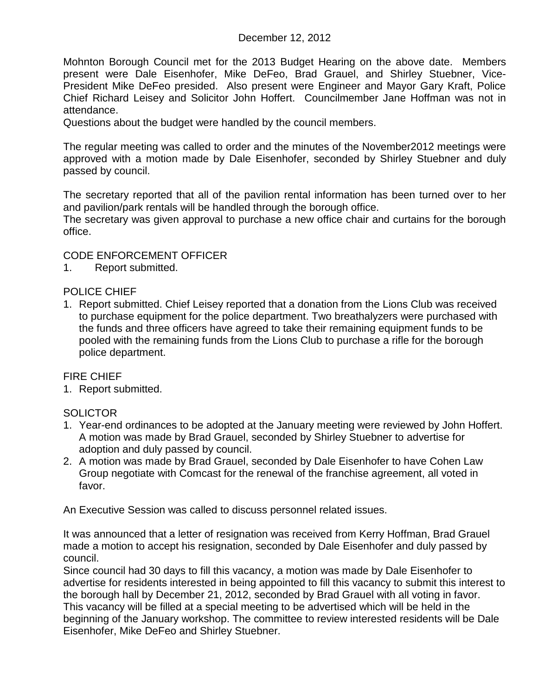# December 12, 2012

Mohnton Borough Council met for the 2013 Budget Hearing on the above date. Members present were Dale Eisenhofer, Mike DeFeo, Brad Grauel, and Shirley Stuebner, Vice-President Mike DeFeo presided. Also present were Engineer and Mayor Gary Kraft, Police Chief Richard Leisey and Solicitor John Hoffert. Councilmember Jane Hoffman was not in attendance.

Questions about the budget were handled by the council members.

The regular meeting was called to order and the minutes of the November2012 meetings were approved with a motion made by Dale Eisenhofer, seconded by Shirley Stuebner and duly passed by council.

The secretary reported that all of the pavilion rental information has been turned over to her and pavilion/park rentals will be handled through the borough office.

The secretary was given approval to purchase a new office chair and curtains for the borough office.

# CODE ENFORCEMENT OFFICER

1. Report submitted.

#### POLICE CHIEF

1. Report submitted. Chief Leisey reported that a donation from the Lions Club was received to purchase equipment for the police department. Two breathalyzers were purchased with the funds and three officers have agreed to take their remaining equipment funds to be pooled with the remaining funds from the Lions Club to purchase a rifle for the borough police department.

# FIRE CHIEF

1. Report submitted.

# **SOLICTOR**

- 1. Year-end ordinances to be adopted at the January meeting were reviewed by John Hoffert. A motion was made by Brad Grauel, seconded by Shirley Stuebner to advertise for adoption and duly passed by council.
- 2. A motion was made by Brad Grauel, seconded by Dale Eisenhofer to have Cohen Law Group negotiate with Comcast for the renewal of the franchise agreement, all voted in favor.

An Executive Session was called to discuss personnel related issues.

It was announced that a letter of resignation was received from Kerry Hoffman, Brad Grauel made a motion to accept his resignation, seconded by Dale Eisenhofer and duly passed by council.

Since council had 30 days to fill this vacancy, a motion was made by Dale Eisenhofer to advertise for residents interested in being appointed to fill this vacancy to submit this interest to the borough hall by December 21, 2012, seconded by Brad Grauel with all voting in favor. This vacancy will be filled at a special meeting to be advertised which will be held in the beginning of the January workshop. The committee to review interested residents will be Dale Eisenhofer, Mike DeFeo and Shirley Stuebner.